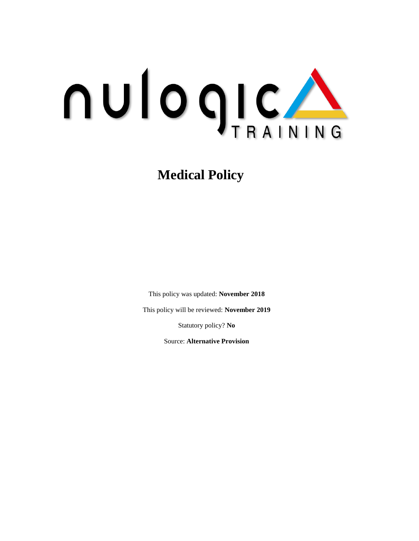

**Medical Policy**

This policy was updated: **November 2018**

This policy will be reviewed: **November 2019**

Statutory policy? **No**

Source: **Alternative Provision**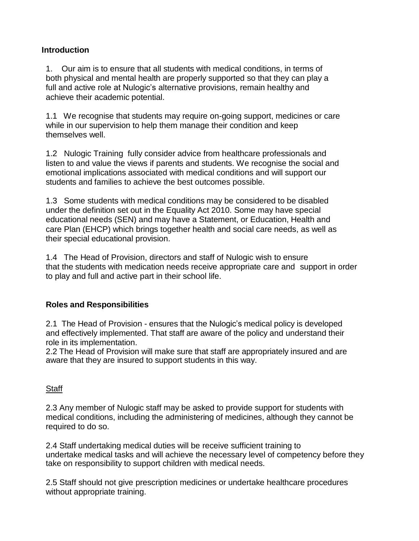# **Introduction**

1. Our aim is to ensure that all students with medical conditions, in terms of both physical and mental health are properly supported so that they can play a full and active role at Nulogic's alternative provisions, remain healthy and achieve their academic potential.

1.1 We recognise that students may require on-going support, medicines or care while in our supervision to help them manage their condition and keep themselves well.

1.2 Nulogic Training fully consider advice from healthcare professionals and listen to and value the views if parents and students. We recognise the social and emotional implications associated with medical conditions and will support our students and families to achieve the best outcomes possible.

1.3 Some students with medical conditions may be considered to be disabled under the definition set out in the Equality Act 2010. Some may have special educational needs (SEN) and may have a Statement, or Education, Health and care Plan (EHCP) which brings together health and social care needs, as well as their special educational provision.

1.4 The Head of Provision, directors and staff of Nulogic wish to ensure that the students with medication needs receive appropriate care and support in order to play and full and active part in their school life.

# **Roles and Responsibilities**

2.1 The Head of Provision - ensures that the Nulogic's medical policy is developed and effectively implemented. That staff are aware of the policy and understand their role in its implementation.

2.2 The Head of Provision will make sure that staff are appropriately insured and are aware that they are insured to support students in this way.

#### **Staff**

2.3 Any member of Nulogic staff may be asked to provide support for students with medical conditions, including the administering of medicines, although they cannot be required to do so.

2.4 Staff undertaking medical duties will be receive sufficient training to undertake medical tasks and will achieve the necessary level of competency before they take on responsibility to support children with medical needs.

2.5 Staff should not give prescription medicines or undertake healthcare procedures without appropriate training.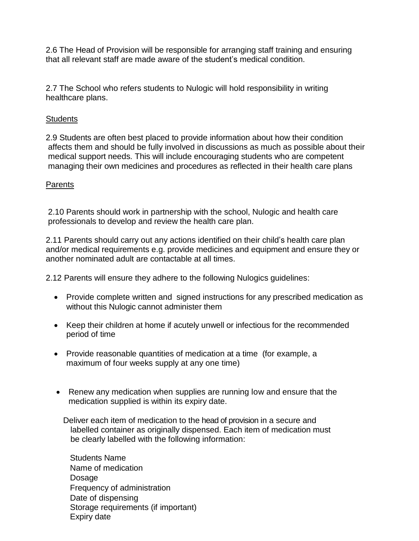2.6 The Head of Provision will be responsible for arranging staff training and ensuring that all relevant staff are made aware of the student's medical condition.

2.7 The School who refers students to Nulogic will hold responsibility in writing healthcare plans.

### **Students**

2.9 Students are often best placed to provide information about how their condition affects them and should be fully involved in discussions as much as possible about their medical support needs. This will include encouraging students who are competent managing their own medicines and procedures as reflected in their health care plans

### **Parents**

2.10 Parents should work in partnership with the school, Nulogic and health care professionals to develop and review the health care plan.

2.11 Parents should carry out any actions identified on their child's health care plan and/or medical requirements e.g. provide medicines and equipment and ensure they or another nominated adult are contactable at all times.

2.12 Parents will ensure they adhere to the following Nulogics guidelines:

- Provide complete written and signed instructions for any prescribed medication as without this Nulogic cannot administer them
- Keep their children at home if acutely unwell or infectious for the recommended period of time
- Provide reasonable quantities of medication at a time (for example, a maximum of four weeks supply at any one time)
- Renew any medication when supplies are running low and ensure that the medication supplied is within its expiry date.

Deliver each item of medication to the head of provision in a secure and labelled container as originally dispensed. Each item of medication must be clearly labelled with the following information:

Students Name Name of medication Dosage Frequency of administration Date of dispensing Storage requirements (if important) Expiry date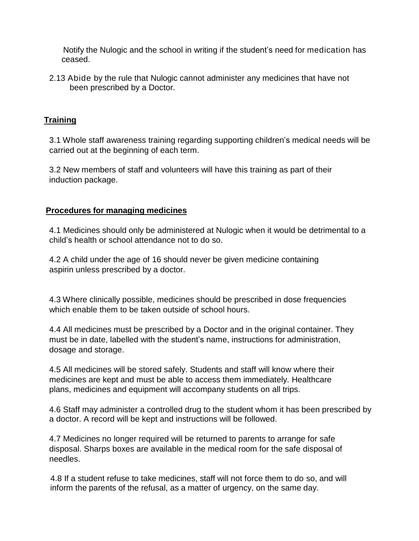Notify the Nulogic and the school in writing if the student's need for medication has ceased.

2.13 Abide by the rule that Nulogic cannot administer any medicines that have not been prescribed by a Doctor.

# **Training**

3.1 Whole staff awareness training regarding supporting children's medical needs will be carried out at the beginning of each term.

3.2 New members of staff and volunteers will have this training as part of their induction package.

# **Procedures for managing medicines**

4.1 Medicines should only be administered at Nulogic when it would be detrimental to a child's health or school attendance not to do so.

4.2 A child under the age of 16 should never be given medicine containing aspirin unless prescribed by a doctor.

4.3 Where clinically possible, medicines should be prescribed in dose frequencies which enable them to be taken outside of school hours.

4.4 All medicines must be prescribed by a Doctor and in the original container. They must be in date, labelled with the student's name, instructions for administration, dosage and storage.

4.5 All medicines will be stored safely. Students and staff will know where their medicines are kept and must be able to access them immediately. Healthcare plans, medicines and equipment will accompany students on all trips.

4.6 Staff may administer a controlled drug to the student whom it has been prescribed by a doctor. A record will be kept and instructions will be followed.

4.7 Medicines no longer required will be returned to parents to arrange for safe disposal. Sharps boxes are available in the medical room for the safe disposal of needles.

4.8 If a student refuse to take medicines, staff will not force them to do so, and will inform the parents of the refusal, as a matter of urgency, on the same day.